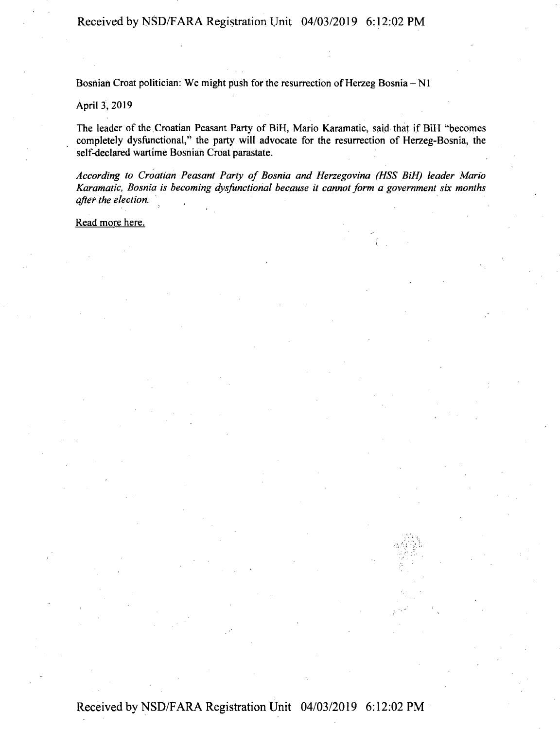Bosnian Croat politician: We might push for the resurrection of Herzeg Bosnia  $-N1$ 

## April 3, 2019

The leader of the Croatian Peasant Party of BiH, Mario Karamatic, said that if BiH "becomes completely dysfunctional," the party will advocate for the resurrection of Herzeg-Bosnia, the self-declared wartime Bosnian Croat parastate.

*According to Croatian Peasant Party of Bosnia and Herzegovina (HSS BiH) leader Mario Karamatic, Bosnia is becoming dysfunctional because it cannot form a government six months after the election.*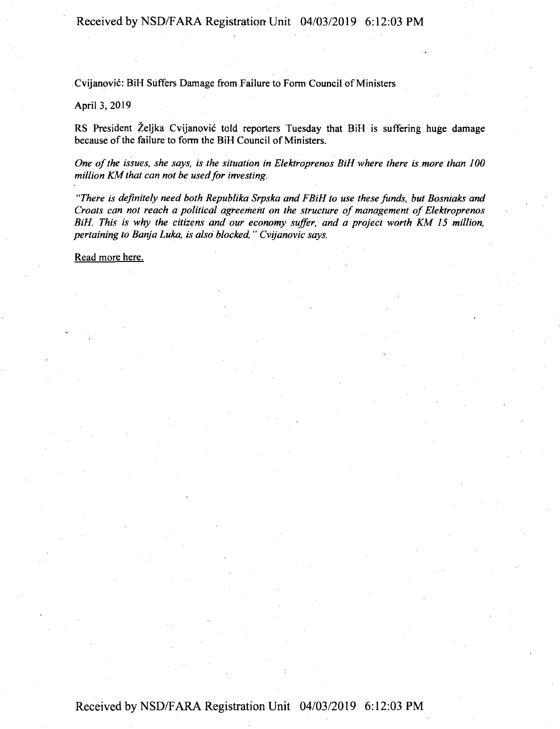**Received by NSD/FARA Registration Unit 04/03/2019 6:12:03 PM**

Cvijanović: BiH Suffers Damage from Failure to Form Council of Ministers

## April 3, 2019

RS President Zeljka Cvijanovic told reporters Tuesday that BiH is suffering huge damage because of the failure to form the BiH Council of Ministers.

*One ofthe issues, she says, is the situation in Elektroprenos BiH where there is more than 100 million KM that can not be used for investing.* 

*"There is definitely need both Republika Srpska and FBiH to use these funds, but Bosniaks and Croats can not reach a political agreement on the structure of management of Elektroprenos BiH. This is why the citizens and our economy suffer, and a project worth KM 15 million, pertaining to Banja Luka, is also blocked, " Cvijanovic says.*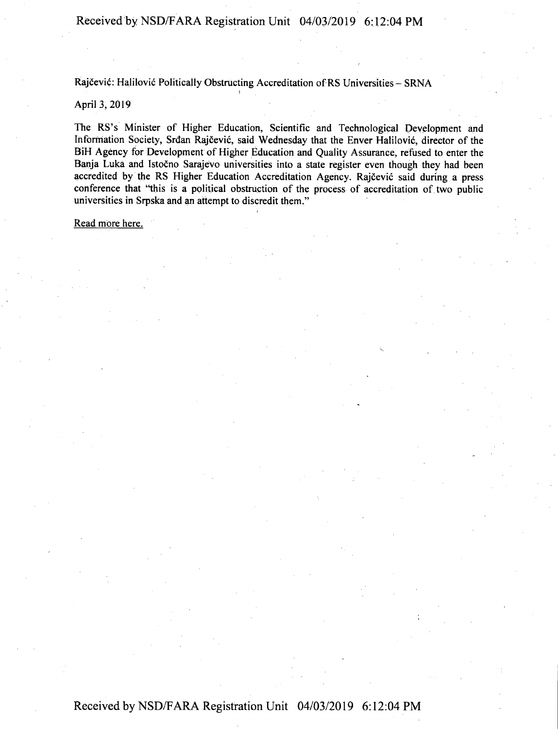Rajčević: Halilović Politically Obstructing Accreditation of RS Universities - SRNA

## April 3, 2019

The RS's Minister of Higher Education, Scientific and Technological Development and Information Society, Srdan Rajčević, said Wednesday that the Enver Halilović, director of the BiH Agency for Development of Higher Education and Quality Assurance, refused to enter the Banja Luka and Istočno Sarajevo universities into a state register even though they had been accredited by the RS Higher Education Accreditation Agency. Rajčević said during a press conference that "this is a political obstruction of the process of accreditation of two public universities in Srpska and an attempt to discredit them."